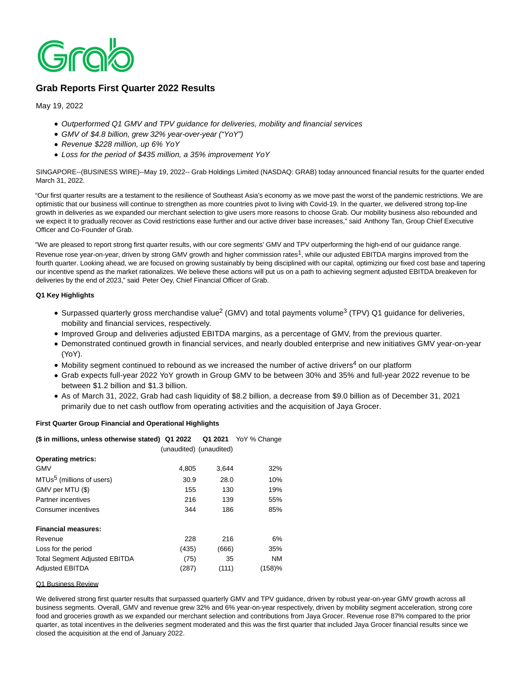

# **Grab Reports First Quarter 2022 Results**

May 19, 2022

- Outperformed Q1 GMV and TPV guidance for deliveries, mobility and financial services
- GMV of \$4.8 billion, grew 32% year-over-year ("YoY")
- Revenue \$228 million, up 6% YoY
- Loss for the period of \$435 million, a 35% improvement YoY

SINGAPORE--(BUSINESS WIRE)--May 19, 2022-- Grab Holdings Limited (NASDAQ: GRAB) today announced financial results for the quarter ended March 31, 2022.

"Our first quarter results are a testament to the resilience of Southeast Asia's economy as we move past the worst of the pandemic restrictions. We are optimistic that our business will continue to strengthen as more countries pivot to living with Covid-19. In the quarter, we delivered strong top-line growth in deliveries as we expanded our merchant selection to give users more reasons to choose Grab. Our mobility business also rebounded and we expect it to gradually recover as Covid restrictions ease further and our active driver base increases," said Anthony Tan, Group Chief Executive Officer and Co-Founder of Grab.

"We are pleased to report strong first quarter results, with our core segments' GMV and TPV outperforming the high-end of our guidance range. Revenue rose year-on-year, driven by strong GMV growth and higher commission rates<sup>1</sup>, while our adjusted EBITDA margins improved from the fourth quarter. Looking ahead, we are focused on growing sustainably by being disciplined with our capital, optimizing our fixed cost base and tapering our incentive spend as the market rationalizes. We believe these actions will put us on a path to achieving segment adjusted EBITDA breakeven for deliveries by the end of 2023," said Peter Oey, Chief Financial Officer of Grab.

### **Q1 Key Highlights**

- Surpassed quarterly gross merchandise value<sup>2</sup> (GMV) and total payments volume<sup>3</sup> (TPV) Q1 guidance for deliveries, mobility and financial services, respectively.
- Improved Group and deliveries adjusted EBITDA margins, as a percentage of GMV, from the previous quarter.
- Demonstrated continued growth in financial services, and nearly doubled enterprise and new initiatives GMV year-on-year (YoY).
- Mobility segment continued to rebound as we increased the number of active drivers<sup>4</sup> on our platform
- Grab expects full-year 2022 YoY growth in Group GMV to be between 30% and 35% and full-year 2022 revenue to be between \$1.2 billion and \$1.3 billion.
- As of March 31, 2022, Grab had cash liquidity of \$8.2 billion, a decrease from \$9.0 billion as of December 31, 2021 primarily due to net cash outflow from operating activities and the acquisition of Jaya Grocer.

### **First Quarter Group Financial and Operational Highlights**

| (\$ in millions, unless otherwise stated) Q1 2022 Q1 2021 YoY % Change |                         |       |           |
|------------------------------------------------------------------------|-------------------------|-------|-----------|
|                                                                        | (unaudited) (unaudited) |       |           |
| <b>Operating metrics:</b>                                              |                         |       |           |
| <b>GMV</b>                                                             | 4.805                   | 3.644 | 32%       |
| MTUs <sup>5</sup> (millions of users)                                  | 30.9                    | 28.0  | 10%       |
| GMV per MTU (\$)                                                       | 155                     | 130   | 19%       |
| Partner incentives                                                     | 216                     | 139   | 55%       |
| Consumer incentives                                                    | 344                     | 186   | 85%       |
| <b>Financial measures:</b>                                             |                         |       |           |
| Revenue                                                                | 228                     | 216   | 6%        |
| Loss for the period                                                    | (435)                   | (666) | 35%       |
| <b>Total Segment Adjusted EBITDA</b>                                   | (75)                    | 35    | <b>NM</b> |
| <b>Adjusted EBITDA</b>                                                 | (287)                   | (111) | (158)%    |

### Q1 Business Review

We delivered strong first quarter results that surpassed quarterly GMV and TPV guidance, driven by robust year-on-year GMV growth across all business segments. Overall, GMV and revenue grew 32% and 6% year-on-year respectively, driven by mobility segment acceleration, strong core food and groceries growth as we expanded our merchant selection and contributions from Jaya Grocer. Revenue rose 87% compared to the prior quarter, as total incentives in the deliveries segment moderated and this was the first quarter that included Jaya Grocer financial results since we closed the acquisition at the end of January 2022.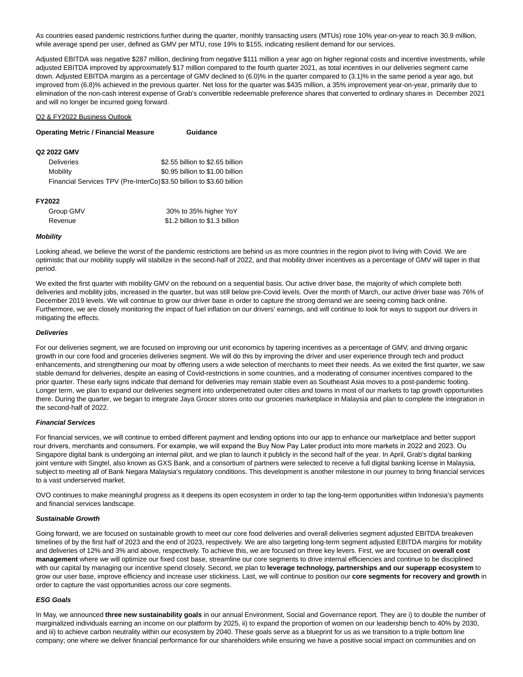As countries eased pandemic restrictions further during the quarter, monthly transacting users (MTUs) rose 10% year-on-year to reach 30.9 million, while average spend per user, defined as GMV per MTU, rose 19% to \$155, indicating resilient demand for our services.

Adjusted EBITDA was negative \$287 million, declining from negative \$111 million a year ago on higher regional costs and incentive investments, while adjusted EBITDA improved by approximately \$17 million compared to the fourth quarter 2021, as total incentives in our deliveries segment came down. Adjusted EBITDA margins as a percentage of GMV declined to (6.0)% in the quarter compared to (3.1)% in the same period a year ago, but improved from (6.8)% achieved in the previous quarter. Net loss for the quarter was \$435 million, a 35% improvement year-on-year, primarily due to elimination of the non-cash interest expense of Grab's convertible redeemable preference shares that converted to ordinary shares in December 2021 and will no longer be incurred going forward.

### Q2 & FY2022 Business Outlook

| <b>Operating Metric / Financial Measure</b> | Guidance |
|---------------------------------------------|----------|
|                                             |          |

### **Q2 2022 GMV**

| <b>Deliveries</b>                                                    | \$2.55 billion to \$2.65 billion |
|----------------------------------------------------------------------|----------------------------------|
| Mobility                                                             | \$0.95 billion to \$1.00 billion |
| Financial Services TPV (Pre-InterCo)\$3.50 billion to \$3.60 billion |                                  |

### **FY2022**

| Group GMV | 30% to 35% higher YoY          |
|-----------|--------------------------------|
| Revenue   | \$1.2 billion to \$1.3 billion |

### **Mobility**

Looking ahead, we believe the worst of the pandemic restrictions are behind us as more countries in the region pivot to living with Covid. We are optimistic that our mobility supply will stabilize in the second-half of 2022, and that mobility driver incentives as a percentage of GMV will taper in that period.

We exited the first quarter with mobility GMV on the rebound on a sequential basis. Our active driver base, the majority of which complete both deliveries and mobility jobs, increased in the quarter, but was still below pre-Covid levels. Over the month of March, our active driver base was 76% of December 2019 levels. We will continue to grow our driver base in order to capture the strong demand we are seeing coming back online. Furthermore, we are closely monitoring the impact of fuel inflation on our drivers' earnings, and will continue to look for ways to support our drivers in mitigating the effects.

### **Deliveries**

For our deliveries segment, we are focused on improving our unit economics by tapering incentives as a percentage of GMV, and driving organic growth in our core food and groceries deliveries segment. We will do this by improving the driver and user experience through tech and product enhancements, and strengthening our moat by offering users a wide selection of merchants to meet their needs. As we exited the first quarter, we saw stable demand for deliveries, despite an easing of Covid-restrictions in some countries, and a moderating of consumer incentives compared to the prior quarter. These early signs indicate that demand for deliveries may remain stable even as Southeast Asia moves to a post-pandemic footing. Longer term, we plan to expand our deliveries segment into underpenetrated outer cities and towns in most of our markets to tap growth opportunities there. During the quarter, we began to integrate Jaya Grocer stores onto our groceries marketplace in Malaysia and plan to complete the integration in the second-half of 2022.

### **Financial Services**

For financial services, we will continue to embed different payment and lending options into our app to enhance our marketplace and better support rour drivers, merchants and consumers. For example, we will expand the Buy Now Pay Later product into more markets in 2022 and 2023. Ou Singapore digital bank is undergoing an internal pilot, and we plan to launch it publicly in the second half of the year. In April, Grab's digital banking joint venture with Singtel, also known as GXS Bank, and a consortium of partners were selected to receive a full digital banking license in Malaysia. subject to meeting all of Bank Negara Malaysia's regulatory conditions. This development is another milestone in our journey to bring financial services to a vast underserved market.

OVO continues to make meaningful progress as it deepens its open ecosystem in order to tap the long-term opportunities within Indonesia's payments and financial services landscape.

### **Sustainable Growth**

Going forward, we are focused on sustainable growth to meet our core food deliveries and overall deliveries segment adjusted EBITDA breakeven timelines of by the first half of 2023 and the end of 2023, respectively. We are also targeting long-term segment adjusted EBITDA margins for mobility and deliveries of 12% and 3% and above, respectively. To achieve this, we are focused on three key levers. First, we are focused on **overall cost management** where we will optimize our fixed cost base, streamline our core segments to drive internal efficiencies and continue to be disciplined with our capital by managing our incentive spend closely. Second, we plan to **leverage technology, partnerships and our superapp ecosystem** to grow our user base, improve efficiency and increase user stickiness. Last, we will continue to position our **core segments for recovery and growth** in order to capture the vast opportunities across our core segments.

### **ESG Goals**

In May, we announced **three new sustainability goals** in our annual Environment, Social and Governance report. They are i) to double the number of marginalized individuals earning an income on our platform by 2025, ii) to expand the proportion of women on our leadership bench to 40% by 2030, and iii) to achieve carbon neutrality within our ecosystem by 2040. These goals serve as a blueprint for us as we transition to a triple bottom line company; one where we deliver financial performance for our shareholders while ensuring we have a positive social impact on communities and on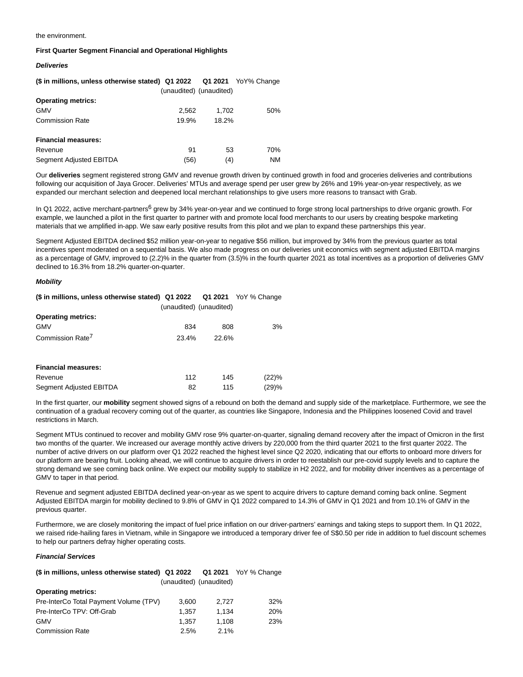#### the environment.

### **First Quarter Segment Financial and Operational Highlights**

### **Deliveries**

| (\$ in millions, unless otherwise stated) Q1 2022 Q1 2021 YoY% Change |                         |       |           |
|-----------------------------------------------------------------------|-------------------------|-------|-----------|
|                                                                       | (unaudited) (unaudited) |       |           |
| <b>Operating metrics:</b>                                             |                         |       |           |
| <b>GMV</b>                                                            | 2.562                   | 1.702 | 50%       |
| <b>Commission Rate</b>                                                | 19.9%                   | 18.2% |           |
| <b>Financial measures:</b>                                            |                         |       |           |
| Revenue                                                               | 91                      | 53    | 70%       |
| Segment Adjusted EBITDA                                               | '56)                    | (4)   | <b>NM</b> |

Our **deliveries** segment registered strong GMV and revenue growth driven by continued growth in food and groceries deliveries and contributions following our acquisition of Jaya Grocer. Deliveries' MTUs and average spend per user grew by 26% and 19% year-on-year respectively, as we expanded our merchant selection and deepened local merchant relationships to give users more reasons to transact with Grab.

In Q1 2022, active merchant-partners<sup>6</sup> grew by 34% year-on-year and we continued to forge strong local partnerships to drive organic growth. For example, we launched a pilot in the first quarter to partner with and promote local food merchants to our users by creating bespoke marketing materials that we amplified in-app. We saw early positive results from this pilot and we plan to expand these partnerships this year.

Segment Adjusted EBITDA declined \$52 million year-on-year to negative \$56 million, but improved by 34% from the previous quarter as total incentives spent moderated on a sequential basis. We also made progress on our deliveries unit economics with segment adjusted EBITDA margins as a percentage of GMV, improved to (2.2)% in the quarter from (3.5)% in the fourth quarter 2021 as total incentives as a proportion of deliveries GMV declined to 16.3% from 18.2% quarter-on-quarter.

### **Mobility**

| (\$ in millions, unless otherwise stated) Q1 2022 Q1 2021 YoY % Change |                         |       |       |
|------------------------------------------------------------------------|-------------------------|-------|-------|
|                                                                        | (unaudited) (unaudited) |       |       |
| <b>Operating metrics:</b>                                              |                         |       |       |
| <b>GMV</b>                                                             | 834                     | 808   | 3%    |
| Commission Rate <sup>7</sup>                                           | 23.4%                   | 22.6% |       |
| <b>Financial measures:</b>                                             |                         |       |       |
| Revenue                                                                | 112                     | 145   | (22)% |
| Segment Adjusted EBITDA                                                | 82                      | 115   | (29)% |

In the first quarter, our **mobility** segment showed signs of a rebound on both the demand and supply side of the marketplace. Furthermore, we see the continuation of a gradual recovery coming out of the quarter, as countries like Singapore, Indonesia and the Philippines loosened Covid and travel restrictions in March.

Segment MTUs continued to recover and mobility GMV rose 9% quarter-on-quarter, signaling demand recovery after the impact of Omicron in the first two months of the quarter. We increased our average monthly active drivers by 220,000 from the third quarter 2021 to the first quarter 2022. The number of active drivers on our platform over Q1 2022 reached the highest level since Q2 2020, indicating that our efforts to onboard more drivers for our platform are bearing fruit. Looking ahead, we will continue to acquire drivers in order to reestablish our pre-covid supply levels and to capture the strong demand we see coming back online. We expect our mobility supply to stabilize in H2 2022, and for mobility driver incentives as a percentage of GMV to taper in that period.

Revenue and segment adjusted EBITDA declined year-on-year as we spent to acquire drivers to capture demand coming back online. Segment Adjusted EBITDA margin for mobility declined to 9.8% of GMV in Q1 2022 compared to 14.3% of GMV in Q1 2021 and from 10.1% of GMV in the previous quarter.

Furthermore, we are closely monitoring the impact of fuel price inflation on our driver-partners' earnings and taking steps to support them. In Q1 2022, we raised ride-hailing fares in Vietnam, while in Singapore we introduced a temporary driver fee of S\$0.50 per ride in addition to fuel discount schemes to help our partners defray higher operating costs.

### **Financial Services**

| (\$ in millions, unless otherwise stated) Q1 2022 Q1 2021 YoY % Change |                         |       |     |
|------------------------------------------------------------------------|-------------------------|-------|-----|
|                                                                        | (unaudited) (unaudited) |       |     |
| <b>Operating metrics:</b>                                              |                         |       |     |
| Pre-InterCo Total Payment Volume (TPV)                                 | 3.600                   | 2.727 | 32% |
| Pre-InterCo TPV: Off-Grab                                              | 1.357                   | 1.134 | 20% |
| <b>GMV</b>                                                             | 1.357                   | 1.108 | 23% |
| <b>Commission Rate</b>                                                 | 2.5%                    | 2.1%  |     |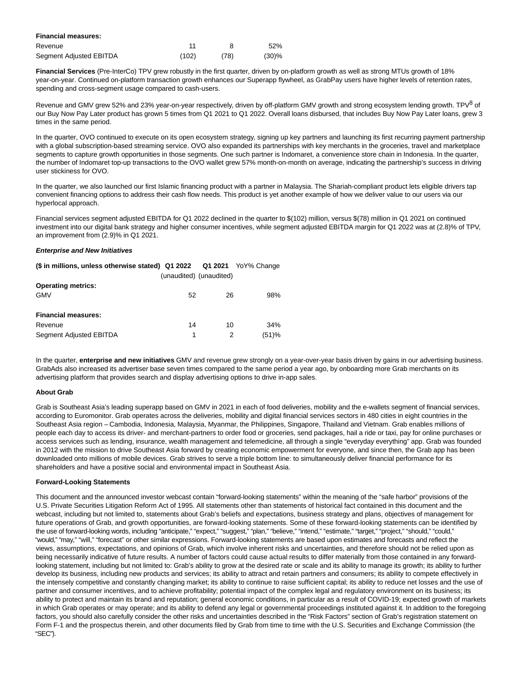| <b>Financial measures:</b> |       |      |       |
|----------------------------|-------|------|-------|
| Revenue                    | -11   |      | 52%   |
| Segment Adjusted EBITDA    | (102) | (78) | (30)% |

**Financial Services** (Pre-InterCo) TPV grew robustly in the first quarter, driven by on-platform growth as well as strong MTUs growth of 18% year-on-year. Continued on-platform transaction growth enhances our Superapp flywheel, as GrabPay users have higher levels of retention rates, spending and cross-segment usage compared to cash-users.

Revenue and GMV grew 52% and 23% year-on-year respectively, driven by off-platform GMV growth and strong ecosystem lending growth. TPV<sup>8</sup> of our Buy Now Pay Later product has grown 5 times from Q1 2021 to Q1 2022. Overall loans disbursed, that includes Buy Now Pay Later loans, grew 3 times in the same period.

In the quarter, OVO continued to execute on its open ecosystem strategy, signing up key partners and launching its first recurring payment partnership with a global subscription-based streaming service. OVO also expanded its partnerships with key merchants in the groceries, travel and marketplace segments to capture growth opportunities in those segments. One such partner is Indomaret, a convenience store chain in Indonesia. In the quarter, the number of Indomaret top-up transactions to the OVO wallet grew 57% month-on-month on average, indicating the partnership's success in driving user stickiness for OVO.

In the quarter, we also launched our first Islamic financing product with a partner in Malaysia. The Shariah-compliant product lets eligible drivers tap convenient financing options to address their cash flow needs. This product is yet another example of how we deliver value to our users via our hyperlocal approach.

Financial services segment adjusted EBITDA for Q1 2022 declined in the quarter to \$(102) million, versus \$(78) million in Q1 2021 on continued investment into our digital bank strategy and higher consumer incentives, while segment adjusted EBITDA margin for Q1 2022 was at (2.8)% of TPV, an improvement from (2.9)% in Q1 2021.

### **Enterprise and New Initiatives**

| (\$ in millions, unless otherwise stated) Q1 2022 Q1 2021 YoY% Change |                         |    |       |
|-----------------------------------------------------------------------|-------------------------|----|-------|
|                                                                       | (unaudited) (unaudited) |    |       |
| <b>Operating metrics:</b>                                             |                         |    |       |
| <b>GMV</b>                                                            | 52                      | 26 | 98%   |
| <b>Financial measures:</b>                                            |                         |    |       |
| Revenue                                                               | 14                      | 10 | 34%   |
| Segment Adjusted EBITDA                                               |                         |    | (51)% |

In the quarter, **enterprise and new initiatives** GMV and revenue grew strongly on a year-over-year basis driven by gains in our advertising business. GrabAds also increased its advertiser base seven times compared to the same period a year ago, by onboarding more Grab merchants on its advertising platform that provides search and display advertising options to drive in-app sales.

### **About Grab**

Grab is Southeast Asia's leading superapp based on GMV in 2021 in each of food deliveries, mobility and the e-wallets segment of financial services, according to Euromonitor. Grab operates across the deliveries, mobility and digital financial services sectors in 480 cities in eight countries in the Southeast Asia region – Cambodia, Indonesia, Malaysia, Myanmar, the Philippines, Singapore, Thailand and Vietnam. Grab enables millions of people each day to access its driver- and merchant-partners to order food or groceries, send packages, hail a ride or taxi, pay for online purchases or access services such as lending, insurance, wealth management and telemedicine, all through a single "everyday everything" app. Grab was founded in 2012 with the mission to drive Southeast Asia forward by creating economic empowerment for everyone, and since then, the Grab app has been downloaded onto millions of mobile devices. Grab strives to serve a triple bottom line: to simultaneously deliver financial performance for its shareholders and have a positive social and environmental impact in Southeast Asia.

### **Forward-Looking Statements**

This document and the announced investor webcast contain "forward-looking statements" within the meaning of the "safe harbor" provisions of the U.S. Private Securities Litigation Reform Act of 1995. All statements other than statements of historical fact contained in this document and the webcast, including but not limited to, statements about Grab's beliefs and expectations, business strategy and plans, objectives of management for future operations of Grab, and growth opportunities, are forward-looking statements. Some of these forward-looking statements can be identified by the use of forward-looking words, including "anticipate," "expect," "suggest," "plan," "believe," "intend," "estimate," "target," "project," "should," "could," "would," "may," "will," "forecast" or other similar expressions. Forward-looking statements are based upon estimates and forecasts and reflect the views, assumptions, expectations, and opinions of Grab, which involve inherent risks and uncertainties, and therefore should not be relied upon as being necessarily indicative of future results. A number of factors could cause actual results to differ materially from those contained in any forwardlooking statement, including but not limited to: Grab's ability to grow at the desired rate or scale and its ability to manage its growth; its ability to further develop its business, including new products and services; its ability to attract and retain partners and consumers; its ability to compete effectively in the intensely competitive and constantly changing market; its ability to continue to raise sufficient capital; its ability to reduce net losses and the use of partner and consumer incentives, and to achieve profitability; potential impact of the complex legal and regulatory environment on its business; its ability to protect and maintain its brand and reputation; general economic conditions, in particular as a result of COVID-19; expected growth of markets in which Grab operates or may operate; and its ability to defend any legal or governmental proceedings instituted against it. In addition to the foregoing factors, you should also carefully consider the other risks and uncertainties described in the "Risk Factors" section of Grab's registration statement on Form F-1 and the prospectus therein, and other documents filed by Grab from time to time with the U.S. Securities and Exchange Commission (the "SEC").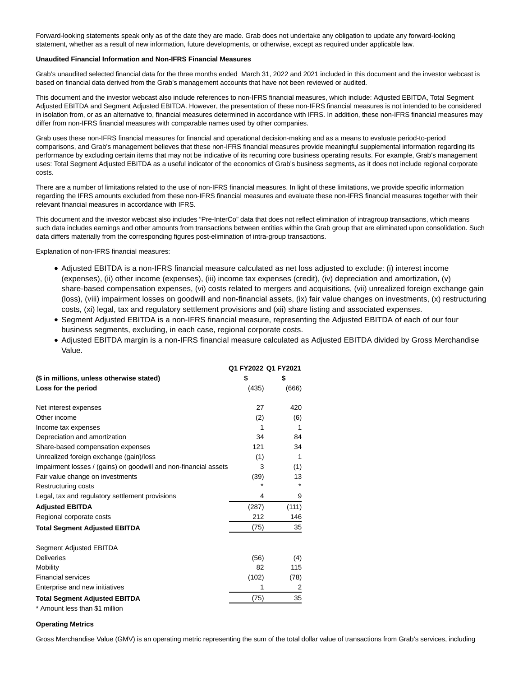Forward-looking statements speak only as of the date they are made. Grab does not undertake any obligation to update any forward-looking statement, whether as a result of new information, future developments, or otherwise, except as required under applicable law.

### **Unaudited Financial Information and Non-IFRS Financial Measures**

Grab's unaudited selected financial data for the three months ended March 31, 2022 and 2021 included in this document and the investor webcast is based on financial data derived from the Grab's management accounts that have not been reviewed or audited.

This document and the investor webcast also include references to non-IFRS financial measures, which include: Adjusted EBITDA, Total Segment Adjusted EBITDA and Segment Adjusted EBITDA. However, the presentation of these non-IFRS financial measures is not intended to be considered in isolation from, or as an alternative to, financial measures determined in accordance with IFRS. In addition, these non-IFRS financial measures may differ from non-IFRS financial measures with comparable names used by other companies.

Grab uses these non-IFRS financial measures for financial and operational decision-making and as a means to evaluate period-to-period comparisons, and Grab's management believes that these non-IFRS financial measures provide meaningful supplemental information regarding its performance by excluding certain items that may not be indicative of its recurring core business operating results. For example, Grab's management uses: Total Segment Adjusted EBITDA as a useful indicator of the economics of Grab's business segments, as it does not include regional corporate costs.

There are a number of limitations related to the use of non-IFRS financial measures. In light of these limitations, we provide specific information regarding the IFRS amounts excluded from these non-IFRS financial measures and evaluate these non-IFRS financial measures together with their relevant financial measures in accordance with IFRS.

This document and the investor webcast also includes "Pre-InterCo" data that does not reflect elimination of intragroup transactions, which means such data includes earnings and other amounts from transactions between entities within the Grab group that are eliminated upon consolidation. Such data differs materially from the corresponding figures post-elimination of intra-group transactions.

Explanation of non-IFRS financial measures:

- Adjusted EBITDA is a non-IFRS financial measure calculated as net loss adjusted to exclude: (i) interest income (expenses), (ii) other income (expenses), (iii) income tax expenses (credit), (iv) depreciation and amortization, (v) share-based compensation expenses, (vi) costs related to mergers and acquisitions, (vii) unrealized foreign exchange gain (loss), (viii) impairment losses on goodwill and non-financial assets, (ix) fair value changes on investments, (x) restructuring costs, (xi) legal, tax and regulatory settlement provisions and (xii) share listing and associated expenses.
- Segment Adjusted EBITDA is a non-IFRS financial measure, representing the Adjusted EBITDA of each of our four business segments, excluding, in each case, regional corporate costs.
- Adjusted EBITDA margin is a non-IFRS financial measure calculated as Adjusted EBITDA divided by Gross Merchandise Value.

|                                                                  |       | Q1 FY2022 Q1 FY2021 |
|------------------------------------------------------------------|-------|---------------------|
| (\$ in millions, unless otherwise stated)                        | \$    | \$                  |
| Loss for the period                                              | (435) | (666)               |
| Net interest expenses                                            | 27    | 420                 |
| Other income                                                     | (2)   | (6)                 |
| Income tax expenses                                              | 1     | 1                   |
| Depreciation and amortization                                    | 34    | 84                  |
| Share-based compensation expenses                                | 121   | 34                  |
| Unrealized foreign exchange (gain)/loss                          | (1)   | 1                   |
| Impairment losses / (gains) on goodwill and non-financial assets | 3     | (1)                 |
| Fair value change on investments                                 | (39)  | 13                  |
| Restructuring costs                                              |       |                     |
| Legal, tax and regulatory settlement provisions                  | 4     | 9                   |
| <b>Adjusted EBITDA</b>                                           | (287) | (111)               |
| Regional corporate costs                                         | 212   | 146                 |
| <b>Total Segment Adjusted EBITDA</b>                             | (75)  | 35                  |
| Segment Adjusted EBITDA                                          |       |                     |
| <b>Deliveries</b>                                                | (56)  | (4)                 |
| Mobility                                                         | 82    | 115                 |
| <b>Financial services</b>                                        | (102) | (78)                |
| Enterprise and new initiatives                                   | 1     | 2                   |
| <b>Total Segment Adjusted EBITDA</b>                             | (75)  | 35                  |
| * Amount less than \$1 million                                   |       |                     |

### **Operating Metrics**

Gross Merchandise Value (GMV) is an operating metric representing the sum of the total dollar value of transactions from Grab's services, including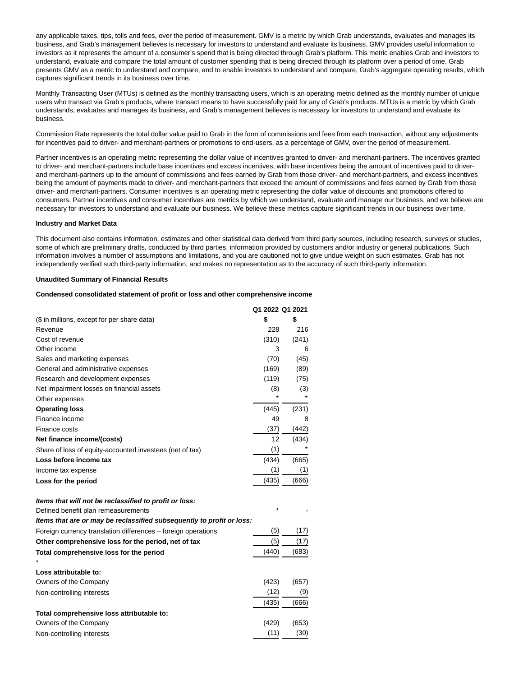any applicable taxes, tips, tolls and fees, over the period of measurement. GMV is a metric by which Grab understands, evaluates and manages its business, and Grab's management believes is necessary for investors to understand and evaluate its business. GMV provides useful information to investors as it represents the amount of a consumer's spend that is being directed through Grab's platform. This metric enables Grab and investors to understand, evaluate and compare the total amount of customer spending that is being directed through its platform over a period of time. Grab presents GMV as a metric to understand and compare, and to enable investors to understand and compare, Grab's aggregate operating results, which captures significant trends in its business over time.

Monthly Transacting User (MTUs) is defined as the monthly transacting users, which is an operating metric defined as the monthly number of unique users who transact via Grab's products, where transact means to have successfully paid for any of Grab's products. MTUs is a metric by which Grab understands, evaluates and manages its business, and Grab's management believes is necessary for investors to understand and evaluate its business.

Commission Rate represents the total dollar value paid to Grab in the form of commissions and fees from each transaction, without any adjustments for incentives paid to driver- and merchant-partners or promotions to end-users, as a percentage of GMV, over the period of measurement.

Partner incentives is an operating metric representing the dollar value of incentives granted to driver- and merchant-partners. The incentives granted to driver- and merchant-partners include base incentives and excess incentives, with base incentives being the amount of incentives paid to driverand merchant-partners up to the amount of commissions and fees earned by Grab from those driver- and merchant-partners, and excess incentives being the amount of payments made to driver- and merchant-partners that exceed the amount of commissions and fees earned by Grab from those driver- and merchant-partners. Consumer incentives is an operating metric representing the dollar value of discounts and promotions offered to consumers. Partner incentives and consumer incentives are metrics by which we understand, evaluate and manage our business, and we believe are necessary for investors to understand and evaluate our business. We believe these metrics capture significant trends in our business over time.

### **Industry and Market Data**

This document also contains information, estimates and other statistical data derived from third party sources, including research, surveys or studies, some of which are preliminary drafts, conducted by third parties, information provided by customers and/or industry or general publications. Such information involves a number of assumptions and limitations, and you are cautioned not to give undue weight on such estimates. Grab has not independently verified such third-party information, and makes no representation as to the accuracy of such third-party information.

### **Unaudited Summary of Financial Results**

### **Condensed consolidated statement of profit or loss and other comprehensive income**

|                                                                       |         | Q1 2022 Q1 2021 |
|-----------------------------------------------------------------------|---------|-----------------|
| (\$ in millions, except for per share data)                           | \$      | S               |
| Revenue                                                               | 228     | 216             |
| Cost of revenue                                                       | (310)   | (241)           |
| Other income                                                          | 3       | 6               |
| Sales and marketing expenses                                          | (70)    | (45)            |
| General and administrative expenses                                   | (169)   | (89)            |
| Research and development expenses                                     | (119)   | (75)            |
| Net impairment losses on financial assets                             | (8)     | (3)             |
| Other expenses                                                        | $\star$ |                 |
| <b>Operating loss</b>                                                 | (445)   | (231)           |
| Finance income                                                        | 49      | 8               |
| Finance costs                                                         | (37)    | (442)           |
| Net finance income/(costs)                                            | 12      | (434)           |
| Share of loss of equity-accounted investees (net of tax)              | (1)     |                 |
| Loss before income tax                                                | (434)   | (665)           |
| Income tax expense                                                    | (1)     | (1)             |
| Loss for the period                                                   | (435)   | (666)           |
| Items that will not be reclassified to profit or loss:                |         |                 |
| Defined benefit plan remeasurements                                   |         |                 |
| Items that are or may be reclassified subsequently to profit or loss: |         |                 |
| Foreign currency translation differences - foreign operations         | (5)     | (17)            |
| Other comprehensive loss for the period, net of tax                   | (5)     | (17)            |
| Total comprehensive loss for the period                               | (440)   | (683)           |
|                                                                       |         |                 |
| Loss attributable to:                                                 |         |                 |
| Owners of the Company                                                 | (423)   | (657)           |
| Non-controlling interests                                             | (12)    | (9)             |
|                                                                       | (435)   | (666)           |
| Total comprehensive loss attributable to:                             |         |                 |
| Owners of the Company                                                 | (429)   | (653)           |
| Non-controlling interests                                             | (11)    | (30)            |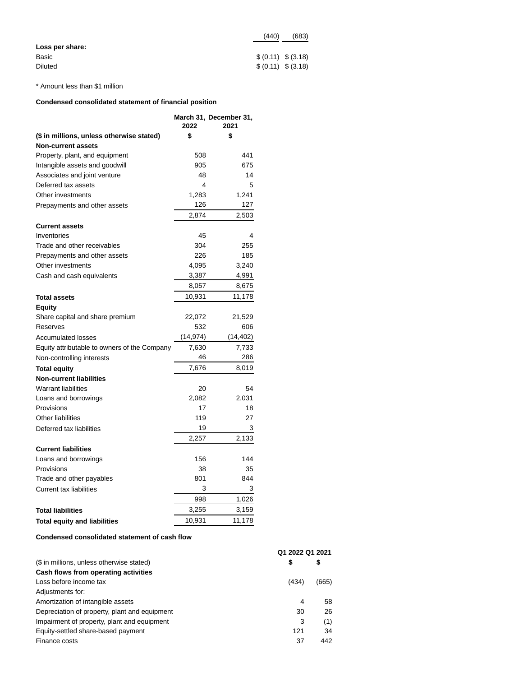|                 | (440)                 | (683) |
|-----------------|-----------------------|-------|
| Loss per share: |                       |       |
| Basic           | \$ (0.11) \$ (\$3.18) |       |
| Diluted         | \$ (0.11) \$ (\$3.18) |       |
|                 |                       |       |

\* Amount less than \$1 million

## **Condensed consolidated statement of financial position**

|                                              | 2022      | March 31, December 31,<br>2021 |
|----------------------------------------------|-----------|--------------------------------|
| (\$ in millions, unless otherwise stated)    | \$        | \$                             |
| <b>Non-current assets</b>                    |           |                                |
| Property, plant, and equipment               | 508       | 441                            |
| Intangible assets and goodwill               | 905       | 675                            |
| Associates and joint venture                 | 48        | 14                             |
| Deferred tax assets                          | 4         | 5                              |
| Other investments                            | 1,283     | 1,241                          |
| Prepayments and other assets                 | 126       | 127                            |
|                                              | 2,874     | 2,503                          |
| <b>Current assets</b>                        |           |                                |
| Inventories                                  | 45        | 4                              |
| Trade and other receivables                  | 304       | 255                            |
| Prepayments and other assets                 | 226       | 185                            |
| Other investments                            | 4,095     | 3,240                          |
| Cash and cash equivalents                    | 3,387     | 4,991                          |
|                                              | 8,057     | 8,675                          |
| <b>Total assets</b>                          | 10,931    | 11,178                         |
| <b>Equity</b>                                |           |                                |
| Share capital and share premium              | 22,072    | 21,529                         |
| Reserves                                     | 532       | 606                            |
| <b>Accumulated losses</b>                    | (14, 974) | (14, 402)                      |
| Equity attributable to owners of the Company | 7,630     | 7,733                          |
| Non-controlling interests                    | 46        | 286                            |
| <b>Total equity</b>                          | 7,676     | 8,019                          |
| <b>Non-current liabilities</b>               |           |                                |
| <b>Warrant liabilities</b>                   | 20        | 54                             |
| Loans and borrowings                         | 2,082     | 2,031                          |
| Provisions                                   | 17        | 18                             |
| <b>Other liabilities</b>                     | 119       | 27                             |
| Deferred tax liabilities                     | 19        | 3                              |
|                                              | 2,257     | 2,133                          |
| <b>Current liabilities</b>                   |           |                                |
| Loans and borrowings                         | 156       | 144                            |
| Provisions                                   | 38        | 35                             |
| Trade and other payables                     | 801       | 844                            |
| <b>Current tax liabilities</b>               | 3         | 3                              |
|                                              | 998       | 1,026                          |
|                                              | 3,255     | 3,159                          |
| <b>Total liabilities</b>                     | 10,931    | 11,178                         |
| <b>Total equity and liabilities</b>          |           |                                |

## **Condensed consolidated statement of cash flow**

|                                               | Q1 2022 Q1 2021 |       |
|-----------------------------------------------|-----------------|-------|
| (\$ in millions, unless otherwise stated)     | \$              | \$    |
| Cash flows from operating activities          |                 |       |
| Loss before income tax                        | (434)           | (665) |
| Adjustments for:                              |                 |       |
| Amortization of intangible assets             | 4               | 58    |
| Depreciation of property, plant and equipment | 30              | 26    |
| Impairment of property, plant and equipment   | 3               | (1)   |
| Equity-settled share-based payment            | 121             | 34    |
| Finance costs                                 | 37              | 442   |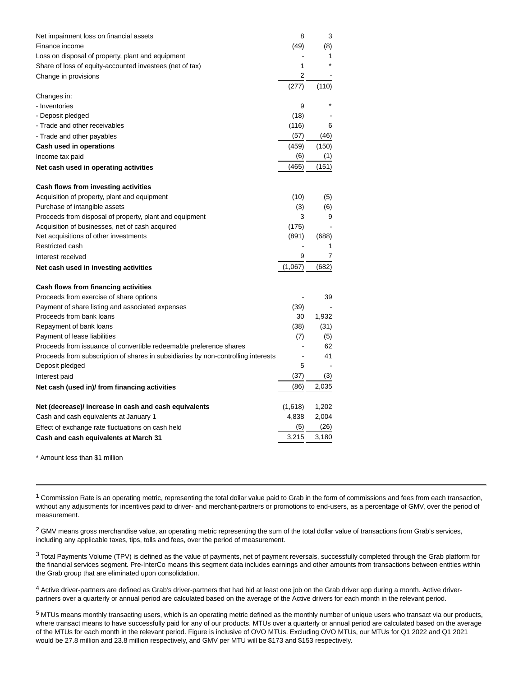| Net impairment loss on financial assets                                           | 8              | 3     |
|-----------------------------------------------------------------------------------|----------------|-------|
| Finance income                                                                    | (49)           | (8)   |
| Loss on disposal of property, plant and equipment                                 |                | 1     |
| Share of loss of equity-accounted investees (net of tax)                          | 1              |       |
| Change in provisions                                                              | $\overline{2}$ |       |
|                                                                                   | (277)          | (110) |
| Changes in:                                                                       |                |       |
| - Inventories                                                                     | 9              |       |
| - Deposit pledged                                                                 | (18)           |       |
| - Trade and other receivables                                                     | (116)          | 6     |
| - Trade and other payables                                                        | (57)           | (46)  |
| Cash used in operations                                                           | (459)          | (150) |
| Income tax paid                                                                   | (6)            | (1)   |
| Net cash used in operating activities                                             | (465)          | (151) |
|                                                                                   |                |       |
| Cash flows from investing activities                                              |                |       |
| Acquisition of property, plant and equipment                                      | (10)           | (5)   |
| Purchase of intangible assets                                                     | (3)            | (6)   |
| Proceeds from disposal of property, plant and equipment                           | 3              | 9     |
| Acquisition of businesses, net of cash acquired                                   | (175)          |       |
| Net acquisitions of other investments                                             | (891)          | (688) |
| Restricted cash                                                                   |                | 1     |
| Interest received                                                                 | 9              | 7     |
| Net cash used in investing activities                                             | (1,067)        | (682) |
|                                                                                   |                |       |
| Cash flows from financing activities                                              |                |       |
| Proceeds from exercise of share options                                           |                | 39    |
| Payment of share listing and associated expenses                                  | (39)           |       |
| Proceeds from bank loans                                                          | 30             | 1,932 |
| Repayment of bank loans                                                           | (38)           | (31)  |
| Payment of lease liabilities                                                      | (7)            | (5)   |
| Proceeds from issuance of convertible redeemable preference shares                |                | 62    |
| Proceeds from subscription of shares in subsidiaries by non-controlling interests |                | 41    |
| Deposit pledged                                                                   | 5              |       |
| Interest paid                                                                     | (37)           | (3)   |
| Net cash (used in)/ from financing activities                                     | (86)           | 2,035 |
|                                                                                   |                |       |
| Net (decrease)/ increase in cash and cash equivalents                             | (1,618)        | 1,202 |
| Cash and cash equivalents at January 1                                            | 4,838          | 2,004 |
| Effect of exchange rate fluctuations on cash held                                 | (5)            | (26)  |
| Cash and cash equivalents at March 31                                             | 3,215          | 3,180 |
|                                                                                   |                |       |

\* Amount less than \$1 million

<sup>1</sup> Commission Rate is an operating metric, representing the total dollar value paid to Grab in the form of commissions and fees from each transaction, without any adjustments for incentives paid to driver- and merchant-partners or promotions to end-users, as a percentage of GMV, over the period of measurement.

<sup>2</sup> GMV means gross merchandise value, an operating metric representing the sum of the total dollar value of transactions from Grab's services, including any applicable taxes, tips, tolls and fees, over the period of measurement.

<sup>3</sup> Total Payments Volume (TPV) is defined as the value of payments, net of payment reversals, successfully completed through the Grab platform for the financial services segment. Pre-InterCo means this segment data includes earnings and other amounts from transactions between entities within the Grab group that are eliminated upon consolidation.

<sup>4</sup> Active driver-partners are defined as Grab's driver-partners that had bid at least one job on the Grab driver app during a month. Active driverpartners over a quarterly or annual period are calculated based on the average of the Active drivers for each month in the relevant period.

5 MTUs means monthly transacting users, which is an operating metric defined as the monthly number of unique users who transact via our products, where transact means to have successfully paid for any of our products. MTUs over a quarterly or annual period are calculated based on the average of the MTUs for each month in the relevant period. Figure is inclusive of OVO MTUs. Excluding OVO MTUs, our MTUs for Q1 2022 and Q1 2021 would be 27.8 million and 23.8 million respectively, and GMV per MTU will be \$173 and \$153 respectively.